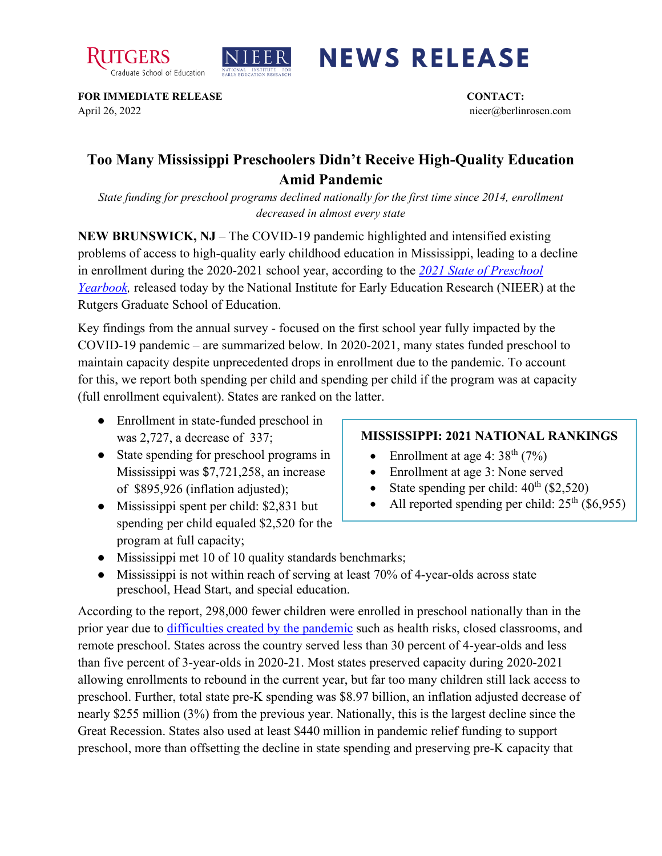



## **NEWS RELEASE**

**FOR IMMEDIATE RELEASE CONTACT:**  April 26, 2022 nieer@berlinrosen.com

## **Too Many Mississippi Preschoolers Didn't Receive High-Quality Education Amid Pandemic**

*State funding for preschool programs declined nationally for the first time since 2014, enrollment decreased in almost every state*

**NEW BRUNSWICK, NJ** – The COVID-19 pandemic highlighted and intensified existing problems of access to high-quality early childhood education in Mississippi, leading to a decline in enrollment during the 2020-2021 school year, according to the *[2021 State of Preschool](https://nieer.org/state-preschool-yearbooks-yearbook2021)  Yearbook*, released today by the National Institute for Early Education Research (NIEER) at the Rutgers Graduate School of Education.

Key findings from the annual survey - focused on the first school year fully impacted by the COVID-19 pandemic – are summarized below. In 2020-2021, many states funded preschool to maintain capacity despite unprecedented drops in enrollment due to the pandemic. To account for this, we report both spending per child and spending per child if the program was at capacity (full enrollment equivalent). States are ranked on the latter.

- Enrollment in state-funded preschool in was 2,727, a decrease of 337;
- State spending for preschool programs in Mississippi was \$7,721,258, an increase of \$895,926 (inflation adjusted);
- Mississippi spent per child: \$2,831 but spending per child equaled \$2,520 for the program at full capacity;

## **MISSISSIPPI: 2021 NATIONAL RANKINGS**

- Enrollment at age 4:  $38<sup>th</sup>$  (7%)
- Enrollment at age 3: None served
- State spending per child:  $40<sup>th</sup>$  (\$2,520)
- All reported spending per child:  $25<sup>th</sup>$  (\$6,955)
- Mississippi met 10 of 10 quality standards benchmarks;
- Mississippi is not within reach of serving at least 70% of 4-year-olds across state preschool, Head Start, and special education.

According to the report, 298,000 fewer children were enrolled in preschool nationally than in the prior year due to [difficulties created by the pandemic](https://nieer.org/wp-content/uploads/2021/02/NIEER_Seven_Impacts_of_the_Pandemic_on_Young_Children_and_their_Parents.pdf) such as health risks, closed classrooms, and remote preschool. States across the country served less than 30 percent of 4-year-olds and less than five percent of 3-year-olds in 2020-21. Most states preserved capacity during 2020-2021 allowing enrollments to rebound in the current year, but far too many children still lack access to preschool. Further, total state pre-K spending was \$8.97 billion, an inflation adjusted decrease of nearly \$255 million (3%) from the previous year. Nationally, this is the largest decline since the Great Recession. States also used at least \$440 million in pandemic relief funding to support preschool, more than offsetting the decline in state spending and preserving pre-K capacity that